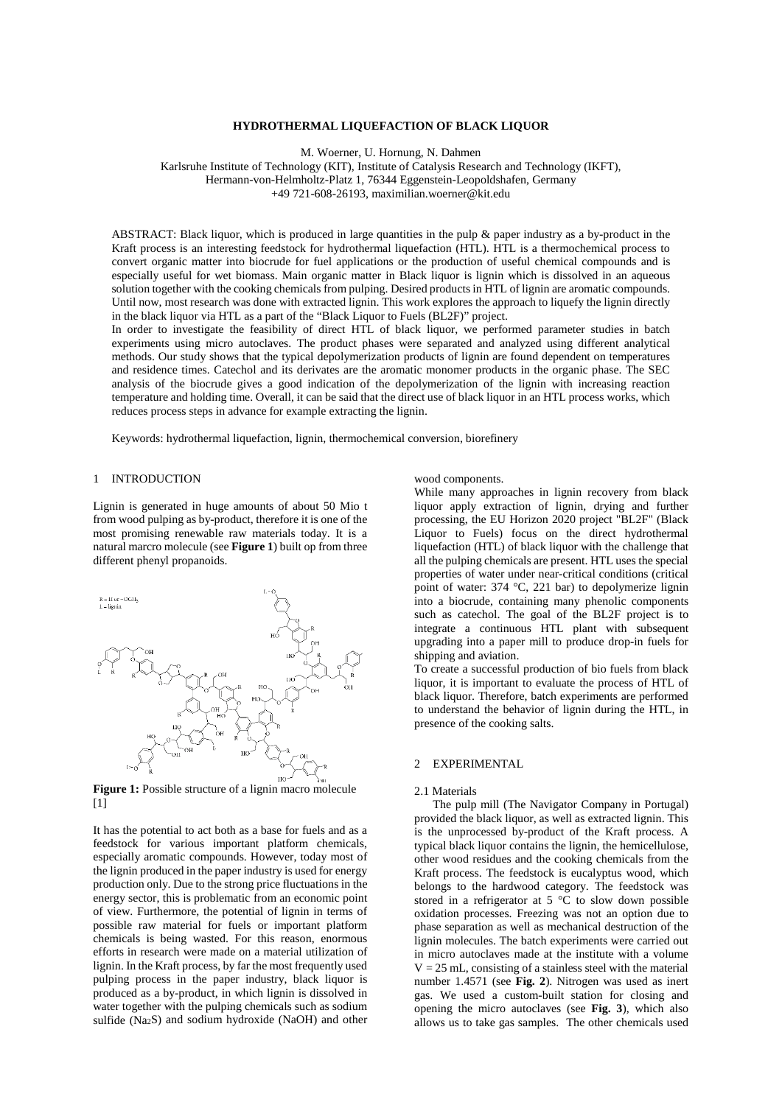## **HYDROTHERMAL LIQUEFACTION OF BLACK LIQUOR**

M. Woerner, U. Hornung, N. Dahmen

Karlsruhe Institute of Technology (KIT), Institute of Catalysis Research and Technology (IKFT), Hermann-von-Helmholtz-Platz 1, 76344 Eggenstein-Leopoldshafen, Germany

+49 721-608-26193, maximilian.woerner@kit.edu

ABSTRACT: Black liquor, which is produced in large quantities in the pulp  $\&$  paper industry as a by-product in the Kraft process is an interesting feedstock for hydrothermal liquefaction (HTL). HTL is a thermochemical process to convert organic matter into biocrude for fuel applications or the production of useful chemical compounds and is especially useful for wet biomass. Main organic matter in Black liquor is lignin which is dissolved in an aqueous solution together with the cooking chemicals from pulping. Desired products in HTL of lignin are aromatic compounds. Until now, most research was done with extracted lignin. This work explores the approach to liquefy the lignin directly in the black liquor via HTL as a part of the "Black Liquor to Fuels (BL2F)" project.

In order to investigate the feasibility of direct HTL of black liquor, we performed parameter studies in batch experiments using micro autoclaves. The product phases were separated and analyzed using different analytical methods. Our study shows that the typical depolymerization products of lignin are found dependent on temperatures and residence times. Catechol and its derivates are the aromatic monomer products in the organic phase. The SEC analysis of the biocrude gives a good indication of the depolymerization of the lignin with increasing reaction temperature and holding time. Overall, it can be said that the direct use of black liquor in an HTL process works, which reduces process steps in advance for example extracting the lignin.

Keywords: hydrothermal liquefaction, lignin, thermochemical conversion, biorefinery

#### 1 INTRODUCTION

Lignin is generated in huge amounts of about 50 Mio t from wood pulping as by-product, therefore it is one of the most promising renewable raw materials today. It is a natural marcro molecule (see **Figure 1**) built op from three different phenyl propanoids.



Figure 1: Possible structure of a lignin macro molecule  $[1]$ 

It has the potential to act both as a base for fuels and as a feedstock for various important platform chemicals, especially aromatic compounds. However, today most of the lignin produced in the paper industry is used for energy production only. Due to the strong price fluctuations in the energy sector, this is problematic from an economic point of view. Furthermore, the potential of lignin in terms of possible raw material for fuels or important platform chemicals is being wasted. For this reason, enormous efforts in research were made on a material utilization of lignin. In the Kraft process, by far the most frequently used pulping process in the paper industry, black liquor is produced as a by-product, in which lignin is dissolved in water together with the pulping chemicals such as sodium sulfide (Na2S) and sodium hydroxide (NaOH) and other

wood components.

While many approaches in lignin recovery from black liquor apply extraction of lignin, drying and further processing, the EU Horizon 2020 project "BL2F" (Black Liquor to Fuels) focus on the direct hydrothermal liquefaction (HTL) of black liquor with the challenge that all the pulping chemicals are present. HTL uses the special properties of water under near-critical conditions (critical point of water: 374 °C, 221 bar) to depolymerize lignin into a biocrude, containing many phenolic components such as catechol. The goal of the BL2F project is to integrate a continuous HTL plant with subsequent upgrading into a paper mill to produce drop-in fuels for shipping and aviation.

To create a successful production of bio fuels from black liquor, it is important to evaluate the process of HTL of black liquor. Therefore, batch experiments are performed to understand the behavior of lignin during the HTL, in presence of the cooking salts.

## 2 EXPERIMENTAL

#### 2.1 Materials

The pulp mill (The Navigator Company in Portugal) provided the black liquor, as well as extracted lignin. This is the unprocessed by-product of the Kraft process. A typical black liquor contains the lignin, the hemicellulose, other wood residues and the cooking chemicals from the Kraft process. The feedstock is eucalyptus wood, which belongs to the hardwood category. The feedstock was stored in a refrigerator at  $5 \text{ °C}$  to slow down possible oxidation processes. Freezing was not an option due to phase separation as well as mechanical destruction of the lignin molecules. The batch experiments were carried out in micro autoclaves made at the institute with a volume  $V = 25$  mL, consisting of a stainless steel with the material number 1.4571 (see **Fig. 2**). Nitrogen was used as inert gas. We used a custom-built station for closing and opening the micro autoclaves (see **Fig. 3**), which also allows us to take gas samples. The other chemicals used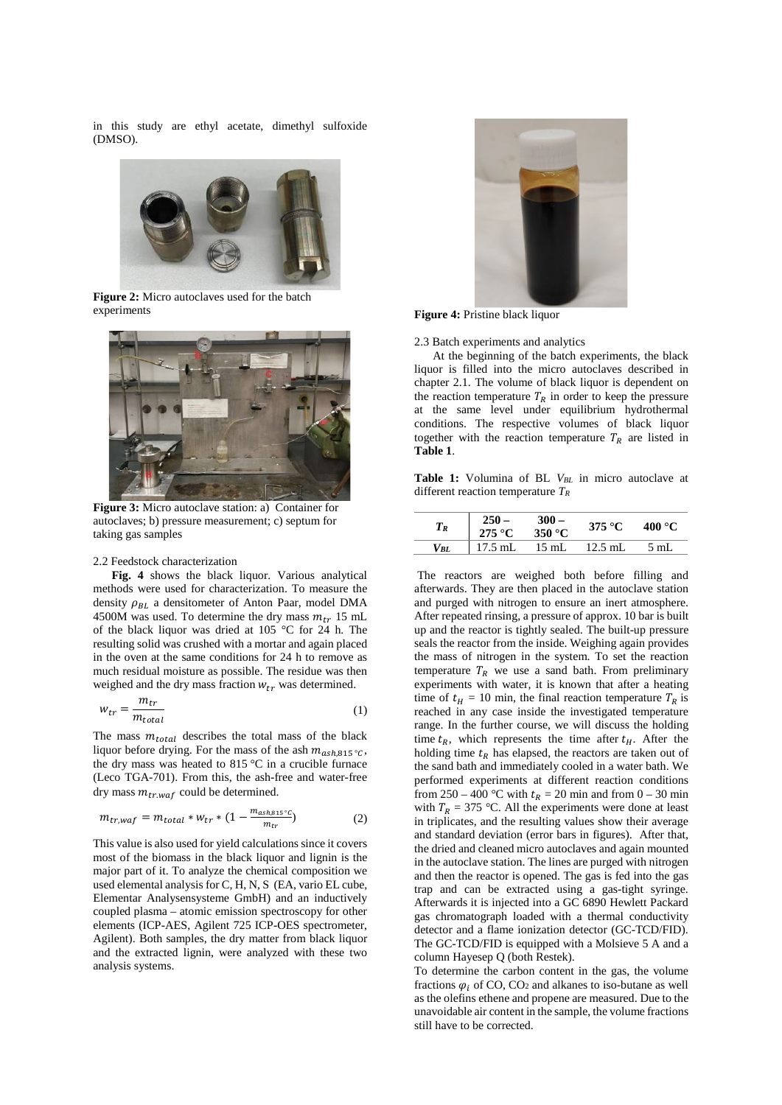in this study are ethyl acetate, dimethyl sulfoxide (DMSO).



**Figure 2:** Micro autoclaves used for the batch experiments



**Figure 3:** Micro autoclave station: a) Container for autoclaves; b) pressure measurement; c) septum for taking gas samples

#### 2.2 Feedstock characterization

**Fig. 4** shows the black liquor. Various analytical methods were used for characterization. To measure the density  $\rho_{BL}$  a densitometer of Anton Paar, model DMA 4500M was used. To determine the dry mass  $m_{tr}$  15 mL of the black liquor was dried at 105 °C for 24 h. The resulting solid was crushed with a mortar and again placed in the oven at the same conditions for 24 h to remove as much residual moisture as possible. The residue was then weighed and the dry mass fraction  $W_{tr}$  was determined.

$$
w_{tr} = \frac{m_{tr}}{m_{total}} \tag{1}
$$

The mass  $m_{total}$  describes the total mass of the black liquor before drying. For the mass of the ash  $m_{ash,815\degree}$ , the dry mass was heated to  $815\text{ °C}$  in a crucible furnace (Leco TGA-701). From this, the ash-free and water-free dry mass  $m_{tr,waf}$  could be determined.

$$
m_{tr, waf} = m_{total} * w_{tr} * (1 - \frac{m_{ash, \text{si } s}}{m_{tr}})
$$
 (2)

This value is also used for yield calculations since it covers most of the biomass in the black liquor and lignin is the major part of it. To analyze the chemical composition we used elemental analysis for C, H, N, S (EA, vario EL cube, Elementar Analysensysteme GmbH) and an inductively coupled plasma – atomic emission spectroscopy for other elements (ICP-AES, Agilent 725 ICP-OES spectrometer, Agilent). Both samples, the dry matter from black liquor and the extracted lignin, were analyzed with these two analysis systems.



**Figure 4:** Pristine black liquor

#### 2.3 Batch experiments and analytics

 At the beginning of the batch experiments, the black liquor is filled into the micro autoclaves described in chapter 2.1. The volume of black liquor is dependent on the reaction temperature  $T_R$  in order to keep the pressure at the same level under equilibrium hydrothermal conditions. The respective volumes of black liquor together with the reaction temperature  $T_R$  are listed in **Table 1**.

Table 1: Volumina of BL V<sub>BL</sub> in micro autoclave at different reaction temperature *TR*

| $T_R$ | 275 °C    | $300 -$<br>$350^{\circ}$ C | 375 °C    | $400\text{ °C}$ |  |
|-------|-----------|----------------------------|-----------|-----------------|--|
| VBL   | $17.5$ mL | $15 \text{ mL}$            | $12.5$ mL | 5 mL            |  |

The reactors are weighed both before filling and afterwards. They are then placed in the autoclave station and purged with nitrogen to ensure an inert atmosphere. After repeated rinsing, a pressure of approx. 10 bar is built up and the reactor is tightly sealed. The built-up pressure seals the reactor from the inside. Weighing again provides the mass of nitrogen in the system. To set the reaction temperature  $T_R$  we use a sand bath. From preliminary experiments with water, it is known that after a heating time of  $t_H = 10$  min, the final reaction temperature  $T_R$  is reached in any case inside the investigated temperature range. In the further course, we will discuss the holding time  $t_R$ , which represents the time after  $t_H$ . After the holding time  $t_R$  has elapsed, the reactors are taken out of the sand bath and immediately cooled in a water bath. We performed experiments at different reaction conditions from 250 – 400 °C with  $t_R = 20$  min and from 0 – 30 min with  $T_R = 375$  °C. All the experiments were done at least in triplicates, and the resulting values show their average and standard deviation (error bars in figures). After that, the dried and cleaned micro autoclaves and again mounted in the autoclave station. The lines are purged with nitrogen and then the reactor is opened. The gas is fed into the gas trap and can be extracted using a gas-tight syringe. Afterwards it is injected into a GC 6890 Hewlett Packard gas chromatograph loaded with a thermal conductivity detector and a flame ionization detector (GC-TCD/FID). The GC-TCD/FID is equipped with a Molsieve 5 A and a column Hayesep Q (both Restek).

To determine the carbon content in the gas, the volume fractions  $\varphi_i$  of CO, CO<sub>2</sub> and alkanes to iso-butane as well as the olefins ethene and propene are measured. Due to the unavoidable air content in the sample, the volume fractions still have to be corrected.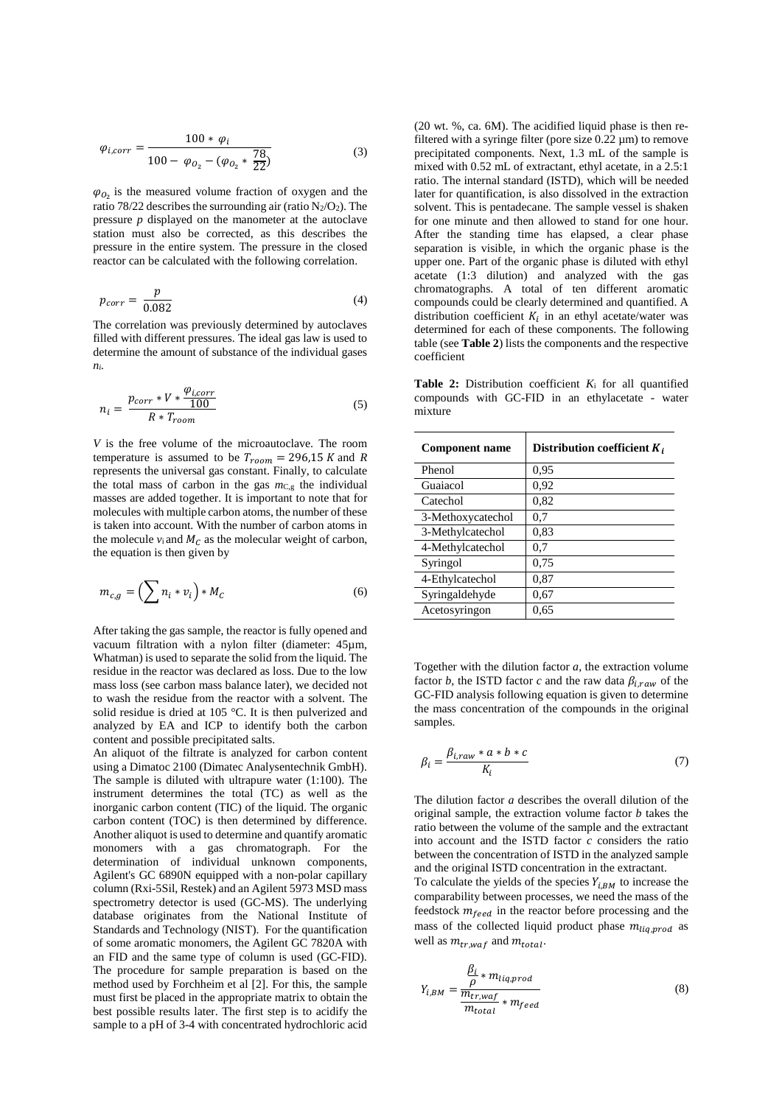$$
\varphi_{i,corr} = \frac{100 * \varphi_i}{100 - \varphi_{O_2} - (\varphi_{O_2} * \frac{78}{22})}
$$
(3)

 $\varphi_{0_2}$  is the measured volume fraction of oxygen and the ratio 78/22 describes the surrounding air (ratio  $N_2/O_2$ ). The pressure *p* displayed on the manometer at the autoclave station must also be corrected, as this describes the pressure in the entire system. The pressure in the closed reactor can be calculated with the following correlation.

$$
p_{corr} = \frac{p}{0.082} \tag{4}
$$

The correlation was previously determined by autoclaves filled with different pressures. The ideal gas law is used to determine the amount of substance of the individual gases *ni.* 

$$
n_i = \frac{p_{corr} * V * \frac{\varphi_{i,corr}}{100}}{R * T_{room}}
$$
 (5)

*V* is the free volume of the microautoclave. The room temperature is assumed to be  $T_{room} = 296,15 K$  and R represents the universal gas constant. Finally, to calculate the total mass of carbon in the gas *m*C,g the individual masses are added together. It is important to note that for molecules with multiple carbon atoms, the number of these is taken into account. With the number of carbon atoms in the molecule  $v_i$  and  $M_c$  as the molecular weight of carbon, the equation is then given by

$$
m_{c,g} = \left(\sum n_i * \nu_i\right) * M_c \tag{6}
$$

After taking the gas sample, the reactor is fully opened and vacuum filtration with a nylon filter (diameter: 45µm, Whatman) is used to separate the solid from the liquid. The residue in the reactor was declared as loss. Due to the low mass loss (see carbon mass balance later), we decided not to wash the residue from the reactor with a solvent. The solid residue is dried at 105 °C. It is then pulverized and analyzed by EA and ICP to identify both the carbon content and possible precipitated salts.

An aliquot of the filtrate is analyzed for carbon content using a Dimatoc 2100 (Dimatec Analysentechnik GmbH). The sample is diluted with ultrapure water (1:100). The instrument determines the total (TC) as well as the inorganic carbon content (TIC) of the liquid. The organic carbon content (TOC) is then determined by difference. Another aliquot is used to determine and quantify aromatic monomers with a gas chromatograph. For the determination of individual unknown components, Agilent's GC 6890N equipped with a non-polar capillary column (Rxi-5Sil, Restek) and an Agilent 5973 MSD mass spectrometry detector is used (GC-MS). The underlying database originates from the National Institute of Standards and Technology (NIST). For the quantification of some aromatic monomers, the Agilent GC 7820A with an FID and the same type of column is used (GC-FID). The procedure for sample preparation is based on the method used by Forchheim et al [2]. For this, the sample must first be placed in the appropriate matrix to obtain the best possible results later. The first step is to acidify the sample to a pH of 3-4 with concentrated hydrochloric acid

(20 wt. %, ca. 6M). The acidified liquid phase is then refiltered with a syringe filter (pore size  $0.22 \mu m$ ) to remove precipitated components. Next, 1.3 mL of the sample is mixed with 0.52 mL of extractant, ethyl acetate, in a 2.5:1 ratio. The internal standard (ISTD), which will be needed later for quantification, is also dissolved in the extraction solvent. This is pentadecane. The sample vessel is shaken for one minute and then allowed to stand for one hour. After the standing time has elapsed, a clear phase separation is visible, in which the organic phase is the upper one. Part of the organic phase is diluted with ethyl acetate (1:3 dilution) and analyzed with the gas chromatographs. A total of ten different aromatic compounds could be clearly determined and quantified. A distribution coefficient  $K_i$  in an ethyl acetate/water was determined for each of these components. The following table (see **Table 2**) lists the components and the respective coefficient

**Table 2:** Distribution coefficient *K*<sup>i</sup> for all quantified compounds with GC-FID in an ethylacetate - water mixture

| <b>Component name</b> | Distribution coefficient $K_i$ |
|-----------------------|--------------------------------|
| Phenol                | 0.95                           |
| Guaiacol              | 0,92                           |
| Catechol              | 0,82                           |
| 3-Methoxycatechol     | 0,7                            |
| 3-Methylcatechol      | 0.83                           |
| 4-Methylcatechol      | 0,7                            |
| Syringol              | 0.75                           |
| 4-Ethylcatechol       | 0,87                           |
| Syringaldehyde        | 0,67                           |
| Acetosyringon         | 0,65                           |

Together with the dilution factor *a,* the extraction volume factor *b*, the ISTD factor *c* and the raw data  $\beta_{i,raw}$  of the GC-FID analysis following equation is given to determine the mass concentration of the compounds in the original samples.

$$
\beta_i = \frac{\beta_{i,raw} * a * b * c}{K_i} \tag{7}
$$

The dilution factor *a* describes the overall dilution of the original sample, the extraction volume factor *b* takes the ratio between the volume of the sample and the extractant into account and the ISTD factor *c* considers the ratio between the concentration of ISTD in the analyzed sample and the original ISTD concentration in the extractant.

To calculate the yields of the species  $Y_{i,BM}$  to increase the comparability between processes, we need the mass of the feedstock  $m_{feed}$  in the reactor before processing and the mass of the collected liquid product phase  $m_{liq,nrod}$  as well as  $m_{tr, waf}$  and  $m_{total}$ .

$$
Y_{i,BM} = \frac{\frac{\beta_i}{\rho} * m_{liq,prod}}{\frac{m_{tr,waf}}{m_{total}} * m_{feed}}
$$
(8)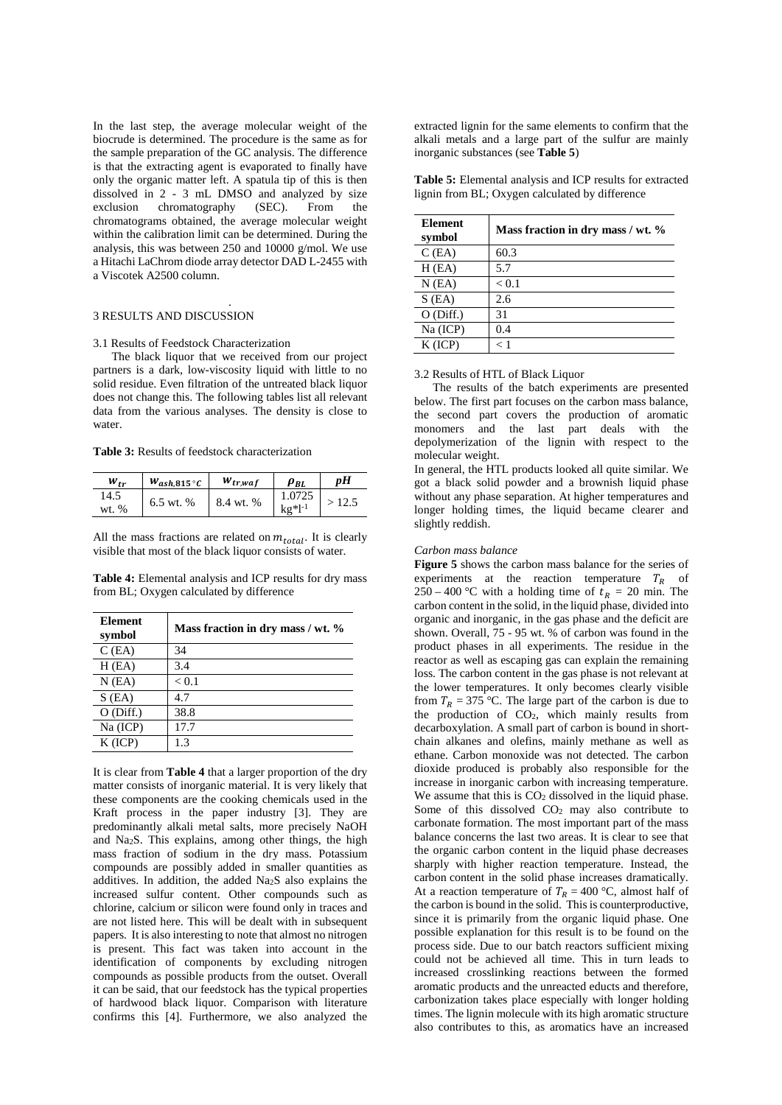In the last step, the average molecular weight of the biocrude is determined. The procedure is the same as for the sample preparation of the GC analysis. The difference is that the extracting agent is evaporated to finally have only the organic matter left. A spatula tip of this is then dissolved in 2 - 3 mL DMSO and analyzed by size<br>exclusion chromatography (SEC). From the chromatography chromatograms obtained, the average molecular weight within the calibration limit can be determined. During the analysis, this was between 250 and 10000 g/mol. We use a Hitachi LaChrom diode array detector DAD L-2455 with a Viscotek A2500 column.

#### . 3 RESULTS AND DISCUSSION

### 3.1 Results of Feedstock Characterization

The black liquor that we received from our project partners is a dark, low-viscosity liquid with little to no solid residue. Even filtration of the untreated black liquor does not change this. The following tables list all relevant data from the various analyses. The density is close to water.

**Table 3:** Results of feedstock characterization

| $W_{tr}$        | $W_{ash, 815}$ °C | $W_{tr, waf}$ | $\rho_{BL}$           | nН    |
|-----------------|-------------------|---------------|-----------------------|-------|
| 14.5<br>wt. $%$ | 6.5 wt. %         | 8.4 wt. %     | 1.0725<br>$kg*l^{-1}$ | >12.5 |

All the mass fractions are related on  $m_{total}$ . It is clearly visible that most of the black liquor consists of water.

**Table 4:** Elemental analysis and ICP results for dry mass from BL; Oxygen calculated by difference

| <b>Element</b><br>symbol | Mass fraction in dry mass / wt. % |
|--------------------------|-----------------------------------|
| $C$ (EA)                 | 34                                |
| H(EA)                    | 3.4                               |
| $N$ (EA)                 | < 0.1                             |
| $S$ (EA)                 | 4.7                               |
| $O$ (Diff.)              | 38.8                              |
| Na (ICP)                 | 17.7                              |
| $K$ (ICP)                | 1.3                               |

It is clear from **Table 4** that a larger proportion of the dry matter consists of inorganic material. It is very likely that these components are the cooking chemicals used in the Kraft process in the paper industry [3]. They are predominantly alkali metal salts, more precisely NaOH and Na2S. This explains, among other things, the high mass fraction of sodium in the dry mass. Potassium compounds are possibly added in smaller quantities as additives. In addition, the added Na2S also explains the increased sulfur content. Other compounds such as chlorine, calcium or silicon were found only in traces and are not listed here. This will be dealt with in subsequent papers. It is also interesting to note that almost no nitrogen is present. This fact was taken into account in the identification of components by excluding nitrogen compounds as possible products from the outset. Overall it can be said, that our feedstock has the typical properties of hardwood black liquor. Comparison with literature confirms this [4]. Furthermore, we also analyzed the

extracted lignin for the same elements to confirm that the alkali metals and a large part of the sulfur are mainly inorganic substances (see **Table 5**)

**Table 5:** Elemental analysis and ICP results for extracted lignin from BL; Oxygen calculated by difference

| <b>Element</b><br>symbol | Mass fraction in dry mass / wt. % |
|--------------------------|-----------------------------------|
| $C$ (EA)                 | 60.3                              |
| H(EA)                    | 5.7                               |
| $N$ (EA)                 | < 0.1                             |
| $S$ (EA)                 | 2.6                               |
| O(Diff.)                 | 31                                |
| Na (ICP)                 | 0.4                               |
| $K$ (ICP)                | < 1                               |

#### 3.2 Results of HTL of Black Liquor

The results of the batch experiments are presented below. The first part focuses on the carbon mass balance, the second part covers the production of aromatic monomers and the last part deals with the depolymerization of the lignin with respect to the molecular weight.

In general, the HTL products looked all quite similar. We got a black solid powder and a brownish liquid phase without any phase separation. At higher temperatures and longer holding times, the liquid became clearer and slightly reddish.

#### *Carbon mass balance*

**Figure 5** shows the carbon mass balance for the series of experiments at the reaction temperature  $T_R$  of 250 – 400 °C with a holding time of  $t_R = 20$  min. The carbon content in the solid, in the liquid phase, divided into organic and inorganic, in the gas phase and the deficit are shown. Overall, 75 - 95 wt. % of carbon was found in the product phases in all experiments. The residue in the reactor as well as escaping gas can explain the remaining loss. The carbon content in the gas phase is not relevant at the lower temperatures. It only becomes clearly visible from  $T_R = 375$  °C. The large part of the carbon is due to the production of CO2, which mainly results from decarboxylation. A small part of carbon is bound in shortchain alkanes and olefins, mainly methane as well as ethane. Carbon monoxide was not detected. The carbon dioxide produced is probably also responsible for the increase in inorganic carbon with increasing temperature. We assume that this is  $CO<sub>2</sub>$  dissolved in the liquid phase. Some of this dissolved CO2 may also contribute to carbonate formation. The most important part of the mass balance concerns the last two areas. It is clear to see that the organic carbon content in the liquid phase decreases sharply with higher reaction temperature. Instead, the carbon content in the solid phase increases dramatically. At a reaction temperature of  $T_R = 400$  °C, almost half of the carbon is bound in the solid. This is counterproductive, since it is primarily from the organic liquid phase. One possible explanation for this result is to be found on the process side. Due to our batch reactors sufficient mixing could not be achieved all time. This in turn leads to increased crosslinking reactions between the formed aromatic products and the unreacted educts and therefore, carbonization takes place especially with longer holding times. The lignin molecule with its high aromatic structure also contributes to this, as aromatics have an increased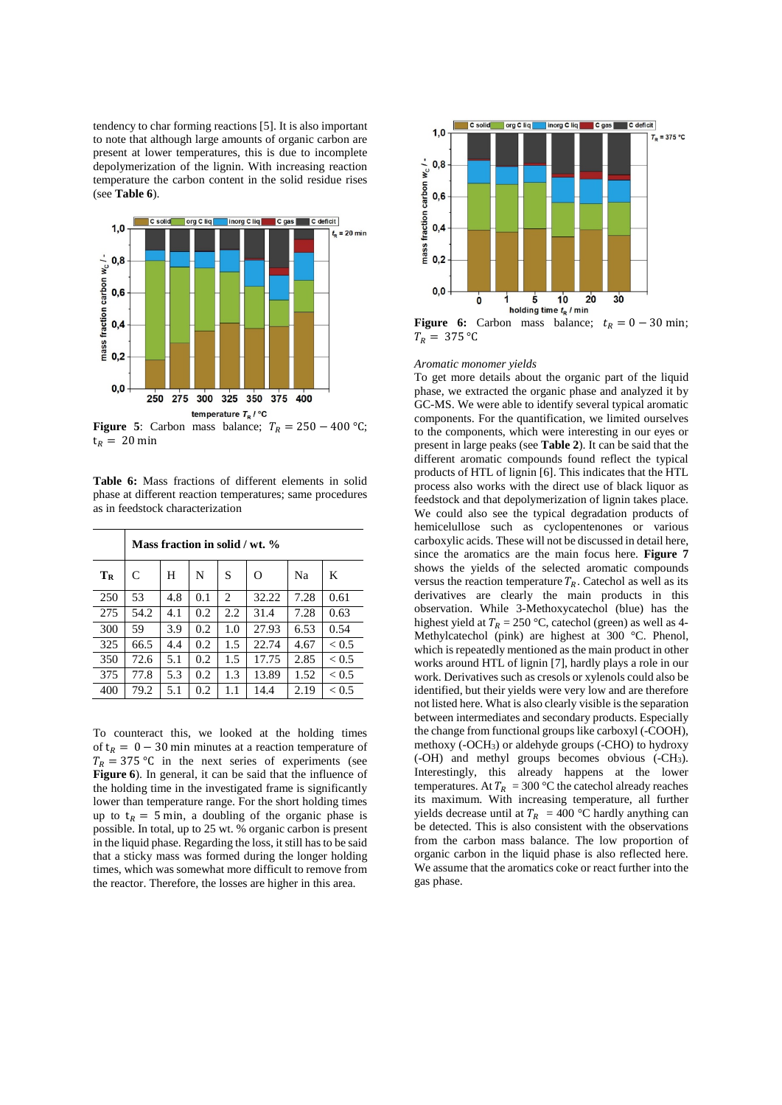tendency to char forming reactions [5]. It is also important to note that although large amounts of organic carbon are present at lower temperatures, this is due to incomplete depolymerization of the lignin. With increasing reaction temperature the carbon content in the solid residue rises (see **Table 6**).



**Figure 5**: Carbon mass balance;  $T_R = 250 - 400$  °C;  $t_R = 20$  min

|                                  |  |  | <b>Table 6:</b> Mass fractions of different elements in solid |  |
|----------------------------------|--|--|---------------------------------------------------------------|--|
|                                  |  |  | phase at different reaction temperatures; same procedures     |  |
| as in feedstock characterization |  |  |                                                               |  |

|     | Mass fraction in solid / wt. % |     |     |     |       |      |              |  |
|-----|--------------------------------|-----|-----|-----|-------|------|--------------|--|
| TR  | C                              | H   | N   | S   | O     | Na   | K            |  |
| 250 | 53                             | 4.8 | 0.1 | 2   | 32.22 | 7.28 | 0.61         |  |
| 275 | 54.2                           | 4.1 | 0.2 | 2.2 | 31.4  | 7.28 | 0.63         |  |
| 300 | 59                             | 3.9 | 0.2 | 1.0 | 27.93 | 6.53 | 0.54         |  |
| 325 | 66.5                           | 4.4 | 0.2 | 1.5 | 22.74 | 4.67 | ${}_{< 0.5}$ |  |
| 350 | 72.6                           | 5.1 | 0.2 | 1.5 | 17.75 | 2.85 | ${}_{< 0.5}$ |  |
| 375 | 77.8                           | 5.3 | 0.2 | 1.3 | 13.89 | 1.52 | ${}_{< 0.5}$ |  |
| 400 | 79.2                           | 5.1 | 0.2 | 1.1 | 14.4  | 2.19 | ${}_{< 0.5}$ |  |

To counteract this, we looked at the holding times of  $t_R = 0 - 30$  min minutes at a reaction temperature of  $T_R = 375 \,^{\circ}\text{C}$  in the next series of experiments (see **Figure 6**). In general, it can be said that the influence of the holding time in the investigated frame is significantly lower than temperature range. For the short holding times up to  $t_R = 5$  min, a doubling of the organic phase is possible. In total, up to 25 wt. % organic carbon is present in the liquid phase. Regarding the loss, it still has to be said that a sticky mass was formed during the longer holding times, which was somewhat more difficult to remove from the reactor. Therefore, the losses are higher in this area.



**Figure 6:** Carbon mass balance;  $t_R = 0 - 30$  min;  $T_R = 375 °C$ 

#### *Aromatic monomer yields*

To get more details about the organic part of the liquid phase, we extracted the organic phase and analyzed it by GC-MS. We were able to identify several typical aromatic components. For the quantification, we limited ourselves to the components, which were interesting in our eyes or present in large peaks (see **Table 2**). It can be said that the different aromatic compounds found reflect the typical products of HTL of lignin [6]. This indicates that the HTL process also works with the direct use of black liquor as feedstock and that depolymerization of lignin takes place. We could also see the typical degradation products of hemicelullose such as cyclopentenones or various carboxylic acids. These will not be discussed in detail here, since the aromatics are the main focus here. **Figure 7** shows the yields of the selected aromatic compounds versus the reaction temperature  $T_R$ . Catechol as well as its derivatives are clearly the main products in this observation. While 3-Methoxycatechol (blue) has the highest yield at  $T_R = 250$  °C, catechol (green) as well as 4-Methylcatechol (pink) are highest at 300 °C. Phenol, which is repeatedly mentioned as the main product in other works around HTL of lignin [7], hardly plays a role in our work. Derivatives such as cresols or xylenols could also be identified, but their yields were very low and are therefore not listed here. What is also clearly visible is the separation between intermediates and secondary products. Especially the change from functional groups like carboxyl (-COOH), methoxy (-OCH3) or aldehyde groups (-CHO) to hydroxy (-OH) and methyl groups becomes obvious (-CH3). Interestingly, this already happens at the lower temperatures. At  $T_R = 300$  °C the catechol already reaches its maximum. With increasing temperature, all further yields decrease until at  $T_R$  = 400 °C hardly anything can be detected. This is also consistent with the observations from the carbon mass balance. The low proportion of organic carbon in the liquid phase is also reflected here. We assume that the aromatics coke or react further into the gas phase.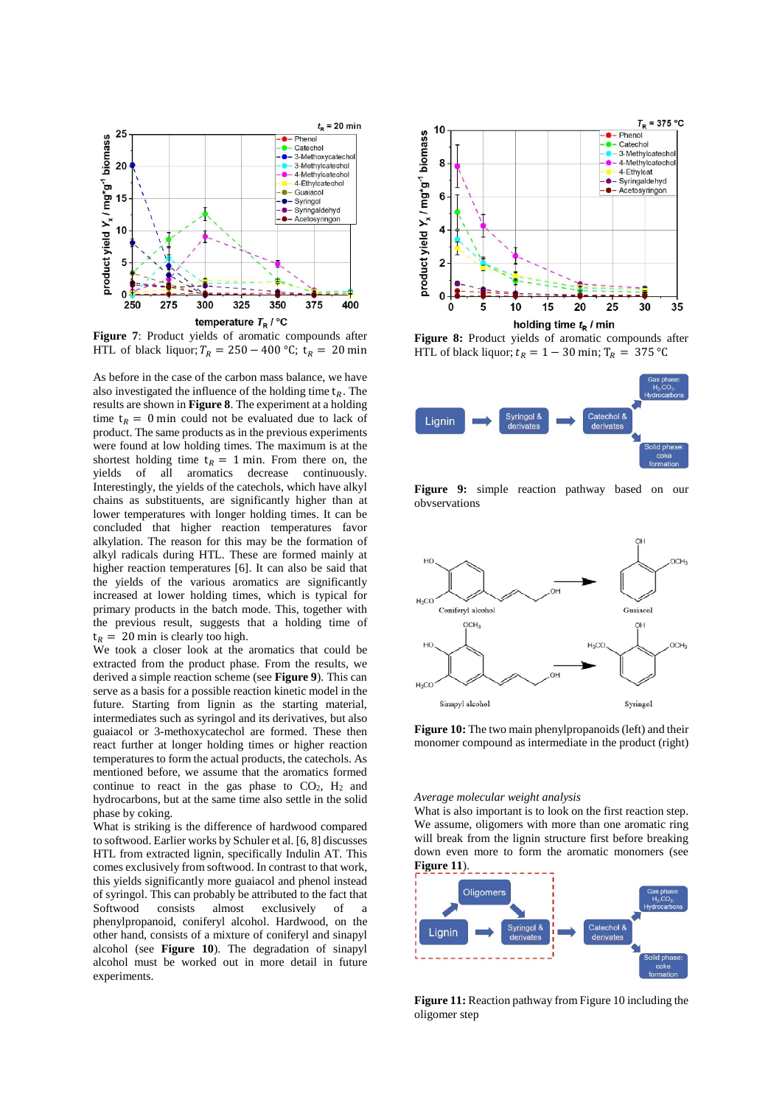

**Figure 7**: Product yields of aromatic compounds after HTL of black liquor;  $T_R = 250 - 400$  °C;  $t_R = 20$  min

As before in the case of the carbon mass balance, we have also investigated the influence of the holding time  $t_R$ . The results are shown in **Figure 8**. The experiment at a holding time  $t_R = 0$  min could not be evaluated due to lack of product. The same products as in the previous experiments were found at low holding times. The maximum is at the shortest holding time  $t_R = 1$  min. From there on, the yields of all aromatics decrease continuously. Interestingly, the yields of the catechols, which have alkyl chains as substituents, are significantly higher than at lower temperatures with longer holding times. It can be concluded that higher reaction temperatures favor alkylation. The reason for this may be the formation of alkyl radicals during HTL. These are formed mainly at higher reaction temperatures [6]. It can also be said that the yields of the various aromatics are significantly increased at lower holding times, which is typical for primary products in the batch mode. This, together with the previous result, suggests that a holding time of  $t_R$  = 20 min is clearly too high.

We took a closer look at the aromatics that could be extracted from the product phase. From the results, we derived a simple reaction scheme (see **Figure 9**). This can serve as a basis for a possible reaction kinetic model in the future. Starting from lignin as the starting material, intermediates such as syringol and its derivatives, but also guaiacol or 3-methoxycatechol are formed. These then react further at longer holding times or higher reaction temperatures to form the actual products, the catechols. As mentioned before, we assume that the aromatics formed continue to react in the gas phase to  $CO<sub>2</sub>$ ,  $H<sub>2</sub>$  and hydrocarbons, but at the same time also settle in the solid phase by coking.

What is striking is the difference of hardwood compared to softwood. Earlier works by Schuler et al. [6, 8] discusses HTL from extracted lignin, specifically Indulin AT. This comes exclusively from softwood. In contrast to that work, this yields significantly more guaiacol and phenol instead of syringol. This can probably be attributed to the fact that Softwood consists almost exclusively of a phenylpropanoid, coniferyl alcohol. Hardwood, on the other hand, consists of a mixture of coniferyl and sinapyl alcohol (see **Figure 10**). The degradation of sinapyl alcohol must be worked out in more detail in future experiments.



**Figure 8:** Product yields of aromatic compounds after HTL of black liquor;  $t_R = 1 - 30$  min;  $T_R = 375$  °C



**Figure 9:** simple reaction pathway based on our obvservations



**Figure 10:** The two main phenylpropanoids (left) and their monomer compound as intermediate in the product (right)

*Average molecular weight analysis*

What is also important is to look on the first reaction step. We assume, oligomers with more than one aromatic ring will break from the lignin structure first before breaking down even more to form the aromatic monomers (see **Figure 11**).



**Figure 11:** Reaction pathway from Figure 10 including the oligomer step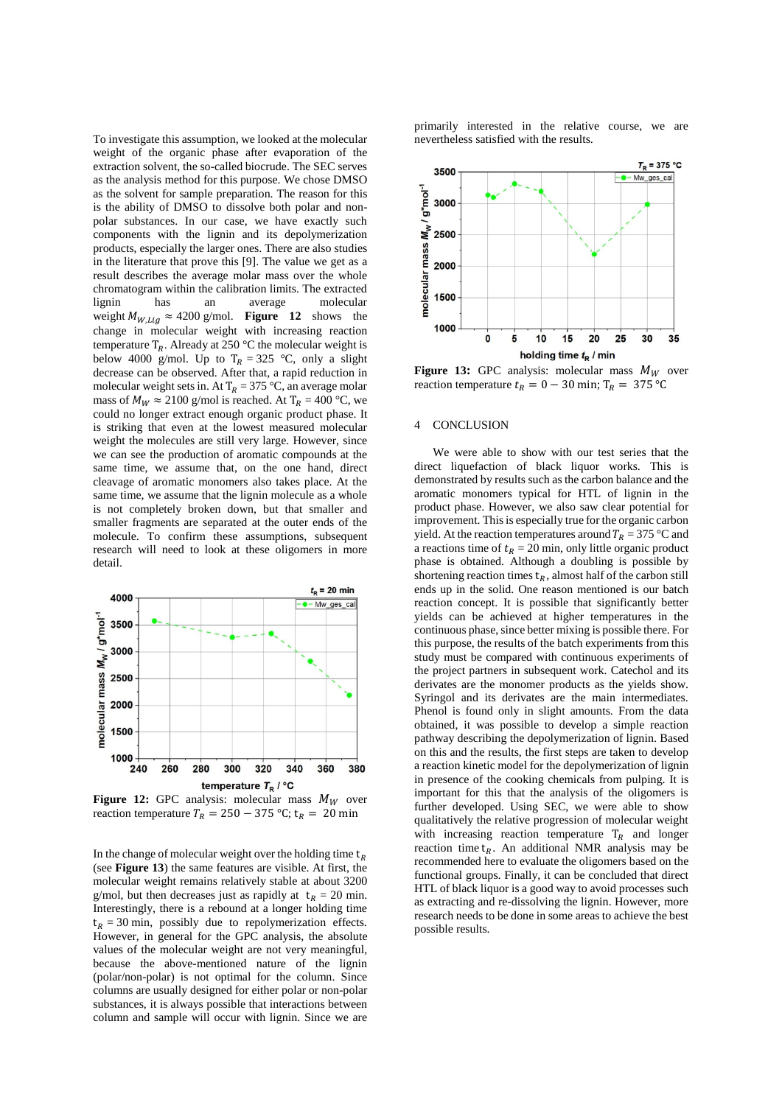To investigate this assumption, we looked at the molecular weight of the organic phase after evaporation of the extraction solvent, the so-called biocrude. The SEC serves as the analysis method for this purpose. We chose DMSO as the solvent for sample preparation. The reason for this is the ability of DMSO to dissolve both polar and nonpolar substances. In our case, we have exactly such components with the lignin and its depolymerization products, especially the larger ones. There are also studies in the literature that prove this [9]. The value we get as a result describes the average molar mass over the whole chromatogram within the calibration limits. The extracted an average molecular weight  $M_{W,Lig} \approx 4200$  g/mol. **Figure 12** shows the change in molecular weight with increasing reaction temperature  $T_R$ . Already at 250 °C the molecular weight is below 4000 g/mol. Up to  $T_R = 325$  °C, only a slight decrease can be observed. After that, a rapid reduction in molecular weight sets in. At  $T_R = 375$  °C, an average molar mass of  $M_W \approx 2100$  g/mol is reached. At T<sub>R</sub> = 400 °C, we could no longer extract enough organic product phase. It is striking that even at the lowest measured molecular weight the molecules are still very large. However, since we can see the production of aromatic compounds at the same time, we assume that, on the one hand, direct cleavage of aromatic monomers also takes place. At the same time, we assume that the lignin molecule as a whole is not completely broken down, but that smaller and smaller fragments are separated at the outer ends of the molecule. To confirm these assumptions, subsequent research will need to look at these oligomers in more detail.



**Figure 12:** GPC analysis: molecular mass  $M_W$  over reaction temperature  $T_R = 250 - 375$  °C;  $t_R = 20$  min

In the change of molecular weight over the holding time  $t_R$ (see **Figure 13**) the same features are visible. At first, the molecular weight remains relatively stable at about 3200 g/mol, but then decreases just as rapidly at  $t_R = 20$  min. Interestingly, there is a rebound at a longer holding time  $t_R = 30$  min, possibly due to repolymerization effects. However, in general for the GPC analysis, the absolute values of the molecular weight are not very meaningful, because the above-mentioned nature of the lignin (polar/non-polar) is not optimal for the column. Since columns are usually designed for either polar or non-polar substances, it is always possible that interactions between column and sample will occur with lignin. Since we are

primarily interested in the relative course, we are nevertheless satisfied with the results.



**Figure 13:** GPC analysis: molecular mass  $M_W$  over reaction temperature  $t_R = 0 - 30$  min;  $T_R = 375$  °C

## 4 CONCLUSION

We were able to show with our test series that the direct liquefaction of black liquor works. This is demonstrated by results such as the carbon balance and the aromatic monomers typical for HTL of lignin in the product phase. However, we also saw clear potential for improvement. This is especially true for the organic carbon yield. At the reaction temperatures around  $T_R = 375$  °C and a reactions time of  $t_R = 20$  min, only little organic product phase is obtained. Although a doubling is possible by shortening reaction times  $t_R$ , almost half of the carbon still ends up in the solid. One reason mentioned is our batch reaction concept. It is possible that significantly better yields can be achieved at higher temperatures in the continuous phase, since better mixing is possible there. For this purpose, the results of the batch experiments from this study must be compared with continuous experiments of the project partners in subsequent work. Catechol and its derivates are the monomer products as the yields show. Syringol and its derivates are the main intermediates. Phenol is found only in slight amounts. From the data obtained, it was possible to develop a simple reaction pathway describing the depolymerization of lignin. Based on this and the results, the first steps are taken to develop a reaction kinetic model for the depolymerization of lignin in presence of the cooking chemicals from pulping. It is important for this that the analysis of the oligomers is further developed. Using SEC, we were able to show qualitatively the relative progression of molecular weight with increasing reaction temperature  $T_R$  and longer reaction time  $t_R$ . An additional NMR analysis may be recommended here to evaluate the oligomers based on the functional groups. Finally, it can be concluded that direct HTL of black liquor is a good way to avoid processes such as extracting and re-dissolving the lignin. However, more research needs to be done in some areas to achieve the best possible results.